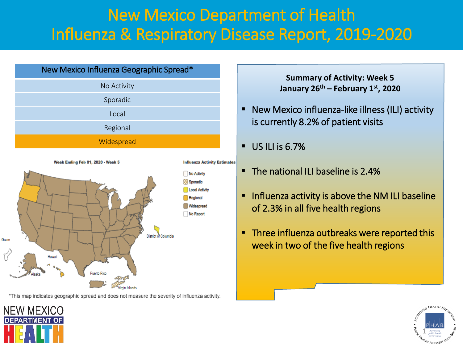# New Mexico Department of Health Influenza & Respiratory Disease Report, 2019-2020



\*This map indicates geographic spread and does not measure the severity of influenza activity.

**Summary of Activity: Week 5 January 26th – February 1st, 2020**

- New Mexico influenza-like illness (ILI) activity is currently 8.2% of patient visits
- $\blacksquare$  US ILI is 6.7%
- The national ILI baseline is 2.4%
- Influenza activity is above the NM ILI baseline of 2.3% in all five health regions
- **Three influenza outbreaks were reported this** week in two of the five health regions



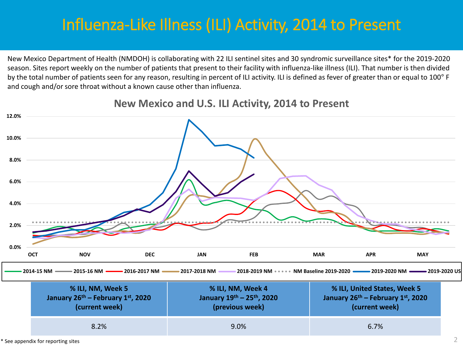# Influenza-Like Illness (ILI) Activity, 2014 to Present

New Mexico Department of Health (NMDOH) is collaborating with 22 ILI sentinel sites and 30 syndromic surveillance sites\* for the 2019-2020 season. Sites report weekly on the number of patients that present to their facility with influenza-like illness (ILI). That number is then divided by the total number of patients seen for any reason, resulting in percent of ILI activity. ILI is defined as fever of greater than or equal to 100° F and cough and/or sore throat without a known cause other than influenza.



### **New Mexico and U.S. ILI Activity, 2014 to Present**

 $*$  See appendix for reporting sites  $2$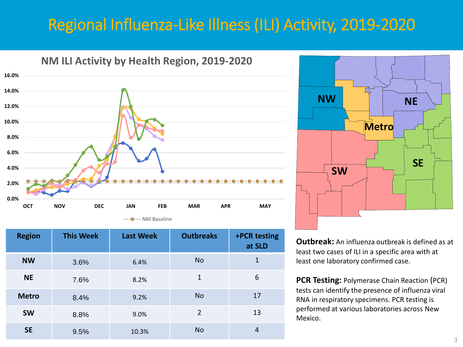# Regional Influenza-Like Illness (ILI) Activity, 2019-2020



| <b>Region</b> | <b>This Week</b> | <b>Last Week</b> | <b>Outbreaks</b> | +PCR testing<br>at SLD |
|---------------|------------------|------------------|------------------|------------------------|
| <b>NW</b>     | 3.6%             | 6.4%             | N <sub>o</sub>   | 1                      |
| <b>NE</b>     | 7.6%             | 8.2%             | 1                | 6                      |
| <b>Metro</b>  | 8.4%             | 9.2%             | N <sub>o</sub>   | 17                     |
| <b>SW</b>     | 8.8%             | 9.0%             | $\overline{2}$   | 13                     |
| <b>SE</b>     | 9.5%             | 10.3%            | <b>No</b>        | 4                      |



**Outbreak:** An influenza outbreak is defined as at least two cases of ILI in a specific area with at least one laboratory confirmed case.

**PCR Testing:** Polymerase Chain Reaction (PCR) tests can identify the presence of influenza viral RNA in respiratory specimens. PCR testing is performed at various laboratories across New Mexico.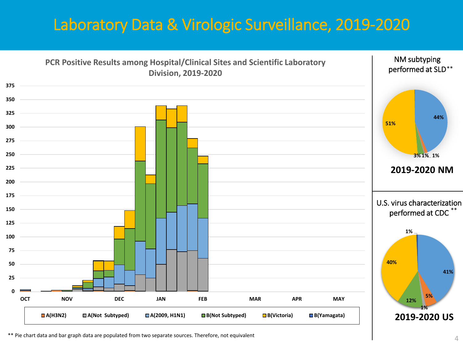# Laboratory Data & Virologic Surveillance, 2019-2020



\*\* Pie chart data and bar graph data are populated from two separate sources. Therefore, not equivalent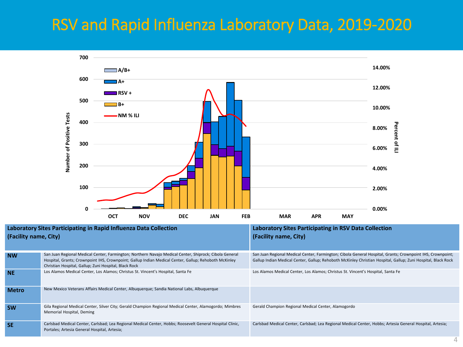# RSV and Rapid Influenza Laboratory Data, 2019-2020



| Laboratory Sites Participating in Rapid Influenza Data Collection<br>(Facility name, City) |                                                                                                                                                                                                                                                                          | <b>Laboratory Sites Participating in RSV Data Collection</b><br>(Facility name, City)                                                                                                                                       |  |
|--------------------------------------------------------------------------------------------|--------------------------------------------------------------------------------------------------------------------------------------------------------------------------------------------------------------------------------------------------------------------------|-----------------------------------------------------------------------------------------------------------------------------------------------------------------------------------------------------------------------------|--|
| <b>NW</b>                                                                                  | San Juan Regional Medical Center, Farmington; Northern Navajo Medical Center, Shiprock; Cibola General<br>Hospital, Grants; Crownpoint IHS, Crownpoint; Gallup Indian Medical Center, Gallup; Rehoboth McKinley<br>Christian Hospital, Gallup; Zuni Hospital, Black Rock | San Juan Regional Medical Center, Farmington; Cibola General Hospital, Grants; Crownpoint IHS, Crownpoint;<br>Gallup Indian Medical Center, Gallup; Rehoboth McKinley Christian Hospital, Gallup; Zuni Hospital, Black Rock |  |
| <b>NE</b>                                                                                  | Los Alamos Medical Center, Los Alamos; Christus St. Vincent's Hospital, Santa Fe                                                                                                                                                                                         | Los Alamos Medical Center, Los Alamos; Christus St. Vincent's Hospital, Santa Fe                                                                                                                                            |  |
| <b>Metro</b>                                                                               | New Mexico Veterans Affairs Medical Center, Albuquerque; Sandia National Labs, Albuquerque                                                                                                                                                                               |                                                                                                                                                                                                                             |  |
| <b>SW</b>                                                                                  | Gila Regional Medical Center, Silver City; Gerald Champion Regional Medical Center, Alamogordo; Mimbres<br>Memorial Hospital, Deming                                                                                                                                     | Gerald Champion Regional Medical Center, Alamogordo                                                                                                                                                                         |  |
| <b>SE</b>                                                                                  | Carlsbad Medical Center, Carlsbad; Lea Regional Medical Center, Hobbs; Roosevelt General Hospital Clinic,<br>Portales; Artesia General Hospital, Artesia;                                                                                                                | Carlsbad Medical Center, Carlsbad; Lea Regional Medical Center, Hobbs; Artesia General Hospital, Artesia;                                                                                                                   |  |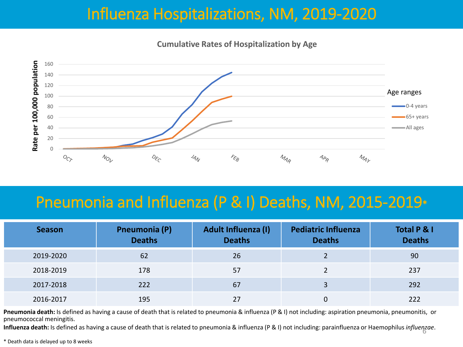## Influenza Hospitalizations, NM, 2019-2020

**Cumulative Rates of Hospitalization by Age**



### Pneumonia and Influenza (P & I) Deaths, NM, 2015-2019\*

| <b>Season</b> | <b>Pneumonia (P)</b><br><b>Deaths</b> | <b>Adult Influenza (I)</b><br><b>Deaths</b> | <b>Pediatric Influenza</b><br><b>Deaths</b> | Total P & I<br><b>Deaths</b> |
|---------------|---------------------------------------|---------------------------------------------|---------------------------------------------|------------------------------|
| 2019-2020     | 62                                    | 26                                          |                                             | 90                           |
| 2018-2019     | 178                                   | 57                                          |                                             | 237                          |
| 2017-2018     | 222                                   | 67                                          |                                             | 292                          |
| 2016-2017     | 195                                   | 27                                          |                                             | 222                          |

Pneumonia death: Is defined as having a cause of death that is related to pneumonia & influenza (P & I) not including: aspiration pneumonia, pneumonitis, or pneumococcal meningitis.

**Influenza death:** Is defined as having a cause of death that is related to pneumonia & influenza (P & I) not including: parainfluenza or Haemophilus *influenzae*. 6

\* Death data is delayed up to 8 weeks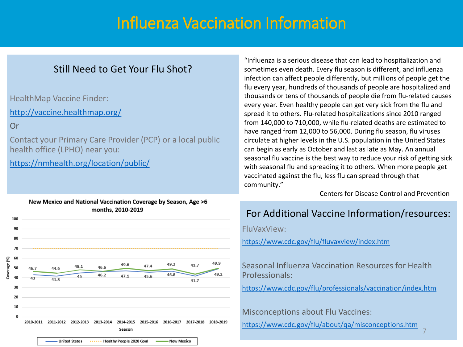### Influenza Vaccination Information

### Still Need to Get Your Flu Shot?

HealthMap Vaccine Finder:

<http://vaccine.healthmap.org/>

Or

Contact your Primary Care Provider (PCP) or a local public health office (LPHO) near you:

<https://nmhealth.org/location/public/>



"Influenza is a serious disease that can lead to hospitalization and sometimes even death. Every flu season is different, and influenza infection can affect people differently, but millions of people get the flu every year, hundreds of thousands of people are hospitalized and thousands or tens of thousands of people die from flu-related causes every year. Even healthy people can get very sick from the flu and spread it to others. Flu-related hospitalizations since 2010 ranged from 140,000 to 710,000, while flu-related deaths are estimated to have ranged from 12,000 to 56,000. During flu season, flu viruses circulate at higher levels in the U.S. population in the United States can begin as early as October and last as late as May. An annual seasonal flu vaccine is the best way to reduce your risk of getting sick with seasonal flu and spreading it to others. When more people get vaccinated against the flu, less flu can spread through that community."

-Centers for Disease Control and Prevention

### For Additional Vaccine Information/resources:

FluVaxView:

<https://www.cdc.gov/flu/fluvaxview/index.htm>

Seasonal Influenza Vaccination Resources for Health Professionals:

<https://www.cdc.gov/flu/professionals/vaccination/index.htm>

Misconceptions about Flu Vaccines:

<https://www.cdc.gov/flu/about/qa/misconceptions.htm>